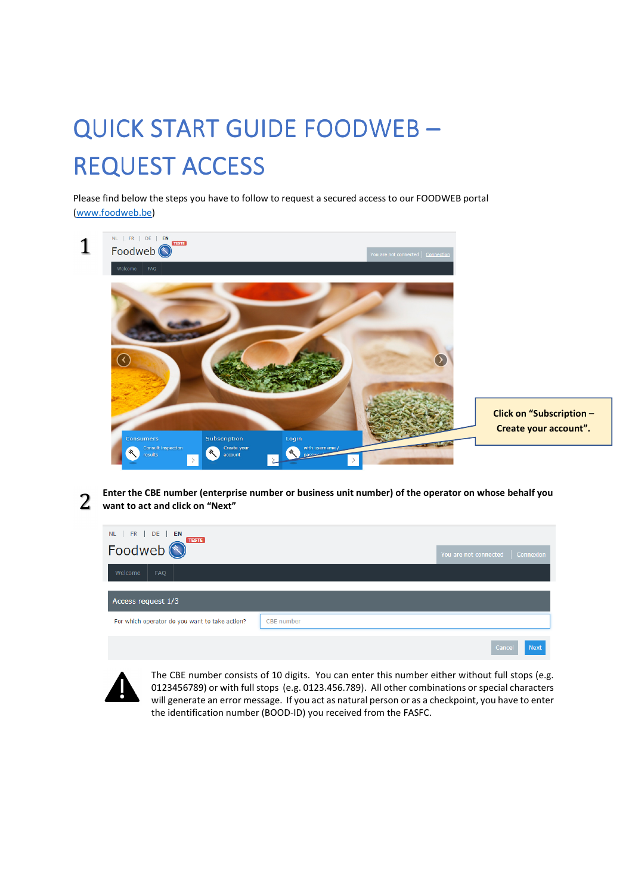## QUICK START GUIDE FOODWEB -**REQUEST ACCESS**

Please find below the steps you have to follow to request a secured access to our FOODWEB portal (www.foodweb.be)



2 Enter the CBE number (enterprise number or business unit number) of the operator on whose behalf you want to act and click on "Next"

| NL   FR   DE   EN                              |            | You are not connected   Connexion |  |  |  |
|------------------------------------------------|------------|-----------------------------------|--|--|--|
| Welcome<br><b>FAQ</b>                          |            |                                   |  |  |  |
| Access request 1/3                             |            |                                   |  |  |  |
| For which operator do you want to take action? | CBE number |                                   |  |  |  |
|                                                |            | $0.1 - 0.4$                       |  |  |  |



The CBE number consists of 10 digits. You can enter this number either without full stops (e.g. 0123456789) or with full stops (e.g. 0123.456.789). All other combinations or special characters will generate an error message. If you act as natural person or as a checkpoint, you have to enter the identification number (BOOD-ID) you received from the FASFC.

 $\sim$  cancer  $\sim$  11